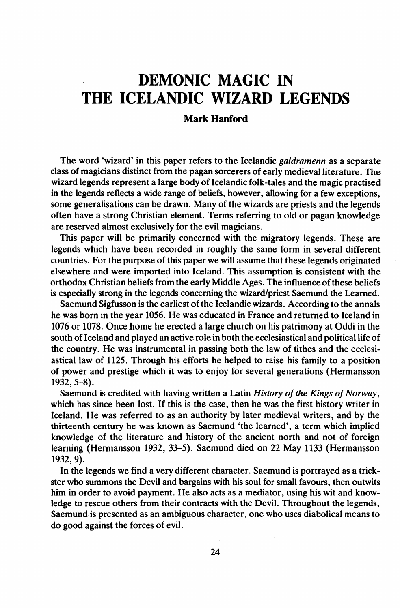## DEMONIC MAGIC IN THE ICELANDIC WIZARD LEGENDS

## Mark Hanford

The word 'wizard' in this paper refers to the Icelandic *galdramenn* as a separate class of magicians distinct from the pagan sorcerers of early medieval literature. The wizard legends represent a large body of Icelandic folk-tales and the magic practised in the legends reflects a wide range of beliefs, however, allowing for a few exceptions, some generalisations can be drawn. Many of the wizards are priests and the legends often have a strong Christian element. Terms referring to old or pagan knowledge are reserved almost exclusively for the evil magicians.

This paper will be primarily concerned with the migratory legends. These are legends which have been recorded in roughly the same form in several different countries. For the purpose of this paper we will assume that these legends originated elsewhere and were imported into Iceland. This assumption is consistent with the orthodox Christian beliefs from the early Middle Ages. The influence ofthese beliefs is especially strong in the legends concerning the wizard/priest Saemund the Learned.

Saemund Sigfusson is the earliest of the Icelandic wizards. According to the annals he was born in the year 1056. He was educated in France and returned to Iceland in 1076 or 1078. Once home he erected a large church on his patrimony at Oddi in the south of Iceland and played an active role in both the ecclesiastical and political life of the country. He was instrumental in passing both the law of tithes and the ecclesiastical law of 1125. Through his efforts he helped to raise his family to a position of power and prestige which it was to enjoy for several generations (Hermansson 1932,5-8).

Saemund is credited with having written a Latin *History of the Kings of Norway*, which has since been lost. If this is the case, then he was the first history writer in Iceland. He was referred to as an authority by later medieval writers, and by the thirteenth century he was known as Saemund 'the learned', a term which implied knowledge of the literature and history of the ancient north and not of foreign learning (Hermansson 1932, 33-5). Saemund died on 22 May 1133 (Hermansson 1932, 9).

In the legends we find a very different character. Saemund is portrayed as a trickster who summons the Devil and bargains with his soul for small favours, then outwits him in order to avoid payment. He also acts as a mediator, using his wit and knowledge to rescue others from their contracts with the Devil. Throughout the legends, Saemund is presented as an ambiguous character, one who uses diabolical means to do good against the forces of evil.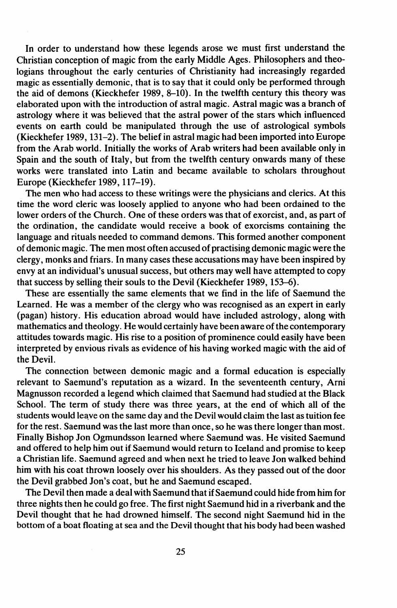In order to understand how these legends arose we must first understand the Christian conception of magic from the early Middle Ages. Philosophers and theologians throughout the early centuries of Christianity had increasingly regarded magic as essentially demonic, that is to say that it could only be performed through the aid of demons (Kieckhefer 1989, 8-10). In the twelfth century this theory was elaborated upon with the introduction of astral magic. Astral magic was a branch of astrology where it was believed that the astral power of the stars which influenced events on earth could be manipulated through the use of astrological symbols (Kieckhefer 1989, 131-2). The belief in astral magic had been imported into Europe from the Arab world. Initially the works of Arab writers had been available only in Spain and the south of Italy, but from the twelfth century onwards many of these works were translated into Latin and became available to scholars throughout Europe (Kieckhefer 1989, 117-19).

The men who had access to these writings were the physicians and clerics. At this time the word cleric was loosely applied to anyone who had been ordained to the lower orders of the Church. One of these orders was that of exorcist, and, as part of the ordination, the candidate would receive a book of exorcisms containing the language and rituals needed to command demons. This formed another component of demonic magic. The men most often accused of practising demonic magic were the clergy, monks and friars. In many cases these accusations may have been inspired by envy at an individual's unusual success, but others may well have attempted to copy that success by selling their souls to the Devil (Kieckhefer 1989, 153-6).

These are essentially the same elements that we find in the life of Saemund the Learned. He was a member of the clergy who was recognised as an expert in early (pagan) history. His education abroad would have included astrology, along with mathematics and theology. He would certainly have been aware of the contemporary attitudes towards magic. His rise to a position of prominence could easily have been interpreted by envious rivals as evidence of his having worked magic with the aid of the Devil.

The connection between demonic magic and a formal education is especially relevant to Saemund's reputation as a wizard. In the seventeenth century, Arni Magnusson recorded a legend which claimed that Saemund had studied at the Black School. The term of study there was three years, at the end of which all of the students would leave on the same day and the Devil would claim the last as tuition fee for the rest. Saemund was the last more than once, so he was there longer than most. Finally Bishop Jon Ogmundsson learned where Saemund was. He visited Saemund and offered to help him out if Saemund would return to Iceland and promise to keep a Christian life. Saemund agreed and when next he tried to leave Jon walked behind him with his coat thrown loosely over his shoulders. As they passed out of the door the Devil grabbed lon's coat, but he and Saemund escaped.

The Devil then made a deal with Saemund that if Saemund could hide from him for three nights then he could go free. The first night Saemund hid in a riverbank and the Devil thought that he had drowned himself. The second night Saemund hid in the bottom of a boat floating at sea and the Devil thought that his body had been washed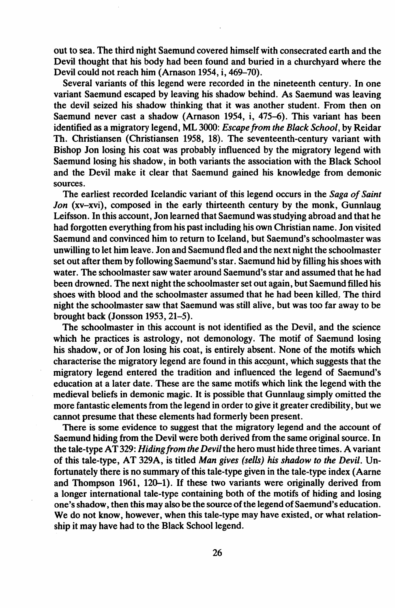out to sea. The third night Saemund covered himself with consecrated earth and the Devil thought that his body had been found and buried in a churchyard where the Devil could not reach him (Arnason 1954, i, 469-70).

Several variants of this legend were recorded in the nineteenth century. In one variant Saemund escaped by leaving his shadow behind. As Saemund was leaving the devil seized his shadow thinking that it was another student. From then on Saemund never cast a shadow (Arnason 1954, i, 475-6). This variant has been identified as a migratory legend, ML 3000: *Escapefrom the Black School,* by Reidar Th. Christiansen (Christiansen 1958, 18). The seventeenth-century variant with Bishop Jon losing his coat was probably influenced by the migratory legend with Saemund losing his shadow, in both variants the association with the Black School and the Devil make it clear that Saemund gained his knowledge from demonic sources.

The earliest recorded Icelandic variant of this legend occurs in the *Saga of Saint Jon* (xv-xvi), composed in the early thirteenth century by the monk, Gunnlaug Leifsson. In this account, Jon learned that Saemund was studying abroad and that he had forgotten everything from his past including his own Christian name. Jon visited Saemund and convinced him to return to Iceland, but Saemund's schoolmaster was unwilling to let him leave. Jon and Saemund fled and the next night the schoolmaster set out after them by following Saemund's star. Saemund hid by filling hisshoes with water. The schoolmaster saw water around Saemund's star and assumed that he had been drowned. The next night the schoolmasterset out again, but Saemund filled his shoes with blood and the schoolmaster assumed that he had been killed,. The third night the schoolmaster saw that Saemund was still alive, but was too far away to be brought back (Jonsson 1953, 21-5).

The schoolmaster in this account is not identified as the Devil, and the science which he practices is astrology, not demonology. The motif of Saemund losing his shadow, or of Jon losing his coat, is entirely absent. None of the motifs which characterise the migratory legend are found in this account, which suggests that the migratory legend entered the tradition and influenced the legend of Saemund's education at a later date. These are the same motifs which link the legend with the medieval beliefs in demonic magic. It is possible that Gunnlaug simply omitted the more fantastic elements from the legend in order to give it greater credibility, but we cannot presume that these elements had formerly been present.

There is some evidence to suggest that the migratory legend and the account of Saemund hiding from the Devil were both derived from the same original source. In the tale-type AT329: *Hiding/rom the Devil*the hero must hide three times. A variant of this tale-type, AT 329A, is titled *Man gives (sells) his shadow to the Devil.* Unfortunately there is no summary of this tale-type given in the tale-type index (Aarne and Thompson 1961, 120-1). If these two variants were originally derived from a longer international tale-type containing both of the motifs of hiding and losing one's shadow, then this may also be the source of the legend of Saemund's education. We do not know, however, when this tale-type may have existed, or what relationship it may have had to the Black School legend.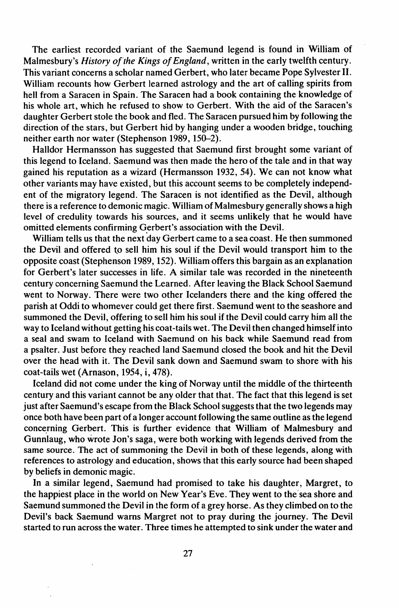The earliest recorded variant of the Saemund legend is found in William of Malmesbury's *History of*'*the Kings ofEngland,* written in the early twelfth century. This variant concerns a scholar named Gerbert, who later became Pope Sylvester II. William recounts how Gerbert learned astrology and the art of calling spirits from hell from a Saracen in Spain. The Saracen had a book containing the knowledge of his whole art, which he refused to show to Gerbert. With the aid of the Saracen's daughter Gerbert stole the book and fled. The Saracen pursued him by following the direction of the stars, but Gerbert hid by hanging under a wooden bridge, touching neither earth nor water (Stephenson 1989, 150-2).

Halldor Hermansson has suggested that Saemund first brought some variant of this legend to Iceland. Saemund was then made the hero of the tale and in that way gained his reputation as a wizard (Hermansson 1932, 54). We can not know what other variants may have existed, but this account seems to be completely independent of the migratory legend. The Saracen is not identified as the Devil, although there is a reference to demonic magic. William of Malmesbury generally shows a high level of credulity towards his sources, and it seems unlikely that he would have omitted elements confirming Gerbert's association with the Devil.

William tells us that the next day Gerbert came to a sea coast. He then summoned the Devil and offered to sell him his soul if the Devil would transport him to the opposite coast (Stephenson 1989, 152). William offers this bargain as an explanation for Gerbert's later successes in life. A similar tale was recorded in the nineteenth century concerning Saemund the Learned. After leaving the Black School Saemund went to Norway. There were two other Icelanders there and the king offered the parish at Oddi to whomever could get there first. Saemund went to the seashore and summoned the Devil, offering to sell him his soul if the Devil could carry him all the way to Iceland without getting his coat-tails wet. The Devil then changed himselfinto a seal and swam to Iceland with Saemund on his back' while Saemund read from a psalter. Just before they reached land Saemund closed the book and hit the Devil over the head with it. The Devil sank down and Saemund swam to shore with his coat-tails wet (Arnason, 1954, i, 478).

Iceland did not come under the king of Norway until the middle of the thirteenth century and this variant cannot be any older that that. The fact that this legend is set just after Saemund's escape from the Black School suggests that the two legends may once both have been part of a longer account following the same outline as the legend concerning Gerbert. This is further evidence that William of Malmesbury and Gunnlaug, who wrote Jon's saga, were both working with legends derived from the same source. The act of summoning the Devil in both of these legends, along with references to astrology and education, shows that this early source had been shaped by beliefs in demonic magic.

In a similar legend, Saemund had promised to take his daughter, Margret, to the happiest place in the world on New Year's Eve. They went to the'sea shore and Saemund summoned the Devil in the form of a grey horse. As they climbed on to the Devil's back Saemund warns Margret not to pray during the journey. The Devil started to run across the water. Three times he attempted to sink under the water and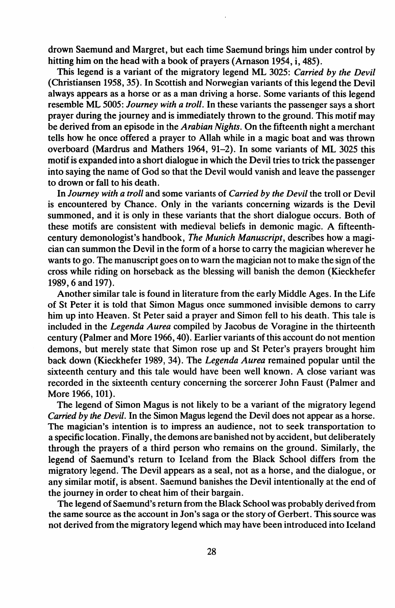drown Saemund and Margret, but each time Saemund brings him under control by hitting him on the head with a book of prayers (Amason 1954, i, 485).

This legend is a variant of the migratory legend ML 3025: *Carried by the Devil* (Christiansen 1958, 35). In Scottish and Norwegian variants of this legend the Devil always appears as a horse or as a man driving a horse. Some variants of this legend resemble ML 5005: *Journey with a troll.* In these variants the passenger says a short prayer during the journey and is immediately thrown to the ground. This motif may be derived from an episode in the *Arabian Nights.* On the fifteenth night a merchant tells how he once offered a prayer to Allah while in a magic boat and was thrown overboard (Mardrus and Mathers 1964, 91-2). In some variants of ML 3025 this motifis expanded into a short dialogue in which the Devil tries to trick the passenger into saying the name of God so that the Devil would vanish and leave the passenger to drown or fall to his death.

In *Journey with a troll* and some variants of *Carried by the Devil* the troll or Devil is encountered by Chance. Only in the variants concerning wizards is the Devil summoned, and it is only in these variants that the short dialogue occurs. Both of these motifs are consistent with medieval beliefs in demonic magic. A fifteenthcentury demonologist's handbook, *The Munich Manuscript,* describes how a magician can summon the Devil in the form of a horse to carry the magician wherever he wants to go. The manuscript goes on to warn the magician not to make the sign of the cross while riding on horseback as the blessing will banish the demon (Kieckhefer 1989, 6 and 197).

Another similar tale is found in literature from the early Middle Ages. In the Life of St Peter it is told that Simon Magus once summoned invisible demons to carry him up into Heaven. St Peter said a prayer and Simon fell to his death. This tale is included in the *Legenda Aurea* compiled by Jacobus de Voragine in the thirteenth century (Palmer and More 1966, 40). Earlier variants of this account do not mention demons, but merely state that Simon rose up and St Peter's prayers brought him back down (Kieckhefer 1989,34). The *Legenda Aurea* remained popular until the sixteenth century and this tale would have been well known. A close variant was recorded in the sixteenth century concerning the sorcerer John Faust (Palmer and More 1966, 101).

The legend of Simon Magus is not likely to be a variant of the migratory legend *Carried by the Devil.* In the Simon Magus legend the Devil does not appear as a horse. The magician's intention is to impress an audience, not to seek transportation to a specific location. Finally, the demons are banished not by accident, but deliberately through the prayers of a third person who remains on the ground. Similarly, the legend of Saemund's return to Iceland from the Black School differs from the migratory legend. The Devil appears as a seal, not as a horse, and the dialogue, or any similar motif, is absent. Saemund banishes the Devil intentionally at the end of the journey in order to cheat him of their bargain.

The legend of Saemund's return from the Black School was probably derived from the same source as the account in Jon's saga or the story of Gerbert. This source was not derived from the migratory legend which may have been introduced into Iceland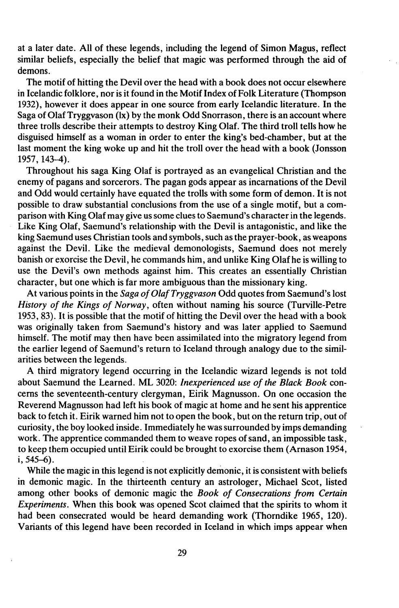at a later date. All of these legends, including the legend of Simon Magus, reflect similar beliefs, especially the belief that magic was performed through the aid of demons.

The motif of hitting the Devil over the head with a book does not occur elsewhere in Icelandic folklore, nor is it found in the Motif Index of Folk Literature (Thompson 1932), however it does appear in one source from early Icelandic literature. In the Saga of OlafTryggvason (Ix) by the monk Odd Snorrason, there is an account where three trolls describe their attempts to destroy King Olaf. The third troll tells how he disguised himself as a woman in order to enter the king's bed-chamber, but at the last moment the king woke up and hit the troll over the head with a book (Jonsson 1957, 143-4).

Throughout his saga King Olaf is portrayed as an evangelical Christian and the enemy of pagans and sorcerors. The pagan gods appear as incarnations of the Devil and Odd would certainly have equated the trolls with some form of demon. It is not possible to draw substantial conclusions from the use of a single motif, but a comparison with King Olaf may give us some clues to Saemund's character in the legends. Like King Olaf, Saemund's relationship with the Devil is antagonistic, and like the king Saemund uses Christian tools and symbols, such asthe prayer-book, as weapons against the Devil. Like the medieval demonologists, Saemund does not merely banish or exorcise the Devil, he commands him, and unlike King Olafhe is willing to use the Devil's own methods against him. This creates an essentially Christian character, but one which is far more ambiguous than the missionary king.

At various points in the *Saga of Olaf Tryggvason* Odd quotes from Saemund's lost *History of the Kings of Norway,* often without naming his source (Turville-Petre 1953, 83). It is possible that the motif of hitting the Devil over the head with a book was originally taken from Saemund's history and was later applied to Saemund himself. The motif may then have been assimilated into the migratory legend from the earlier legend of Saemund's return to Iceland through analogy due to the similarities between the legends.

A third migratory legend occurring in the Icelandic wizard legends is not told about Saemund the Learned. ML 3020: *Inexperienced use of the Black Book* concerns the seventeenth-century clergyman, Eirik Magnusson. On one occasion the Reverend Magnusson had left his book of magic at home and he sent his apprentice back to fetch it. Eirik warned him not to open the book, but on the return trip, out of curiosity, the boy looked inside. Immediately he was surrounded by imps demanding work. The apprentice commanded them to weave ropes of sand, an impossible task, to keep them occupied until Eirik could be brought to exorcise them (Arnason 1954, i,545-6).

While the magic in this legend is not explicitly demonic, it is consistent with beliefs in demonic magic. In the thirteenth century an astrologer, Michael Scot, listed among other books of demonic magic the *Book of Consecrations from Certain Experiments*. When this book was opened Scot claimed that the spirits to whom it had been consecrated would be heard demanding work (Thorndike 1965, 120). Variants of this legend have been recorded in Iceland in which imps appear when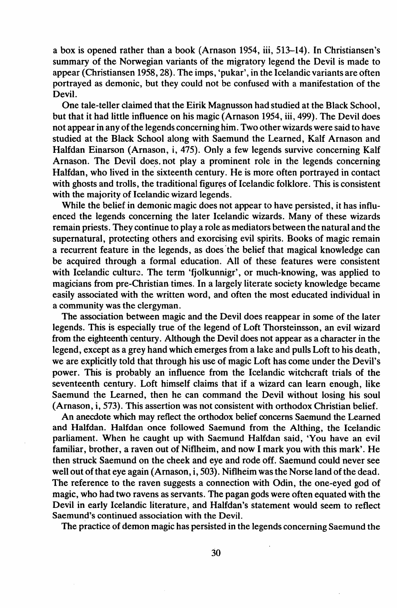a box is opened rather than a book (Arnason 1954, iii, 513-14). In Christiansen's summary of the Norwegian variants of the migratory legend the Devil is made to appear (Christiansen 1958,28). The imps, 'pukar', in the Icelandic variants are often portrayed as demonic, but they could not be confused with a manifestation of the Devil.

One tale-teller claimed that the Eirik Magnusson had studied at the Black School, but that it had little influence on his magic (Arnason 1954, iii, 499). The Devil does not appear in any of the legends concerning him. Two other wizards were said to have studied at the Black School along with Saemund the Learned, Kalf Arnason and Halfdan Einarson (Arnason, i, 475). Only a few legends survive concerning Kalf Arnason. The Devil does not play a prominent role in the legends concerning Halfdan, who lived in the sixteenth century. He is more often portrayed in contact with ghosts and trolls, the traditional figures of Icelandic folklore. This is consistent with the majority of Icelandic wizard legends.

While the belief in demonic magic does not appear to have persisted, it has influenced the legends concerning the later Icelandic wizards. Many of these wizards remain priests. They continue to play a role as mediators between the natural and the supernatural, protecting others and exorcising evil spirits. Books of magic remain a recurrent feature in the legends, as does the belief that magical knowledge can be acquired through a formal education. All of these features were consistent with Icelandic culture. The term 'fjolkunnigr', or much-knowing, was applied to magicians from pre-Christian times. In a largely literate society knowledge became easily associated with the written word, and often the most educated individual in a community was the clergyman.

The association between magic and the Devil does reappear in some of the later legends. This is especially true of the legend of Loft Thorsteinsson, an evil wizard from the eighteenth century. Although the Devil does not appear as a character in the legend, except as a grey hand which emerges from a lake and pulls Loft to his death, we are explicitly told that through his use of magic Loft has come under the Devil's power. This is probably an influence from the Icelandic witchcraft trials of the seventeenth century. Loft himself claims that if a wizard can learn enough, like Saemund the Learned, then he can command the Devil without losing his soul (Arnason, i, 573). This assertion was not consistent with orthodox Christian belief.

An anecdote which may reflect the orthodox belief concerns Saemund the Learned and Halfdan. Halfdan once followed Saemund from the Althing, the Icelandic parliament. When he caught up with Saemund Halfdan said, 'You have an evil familiar, brother, a raven out of Niflheim, and now I mark you with this mark'. He then struck Saemund on the cheek and eye and rode off. Saemund could never see well out of that eye again (Arnason, i, 503). Niflheim was the Norse land of the dead. The reference to the raven suggests a connection with Odin, the one-eyed god of magic, who had two ravens as servants. The pagan gods were often equated with the Devil in early Icelandic literature, and Halfdan's statement would seem to reflect Saemund's continued association with the Devil.

The practice of demon magic has persisted in the legends concerning Saemund the